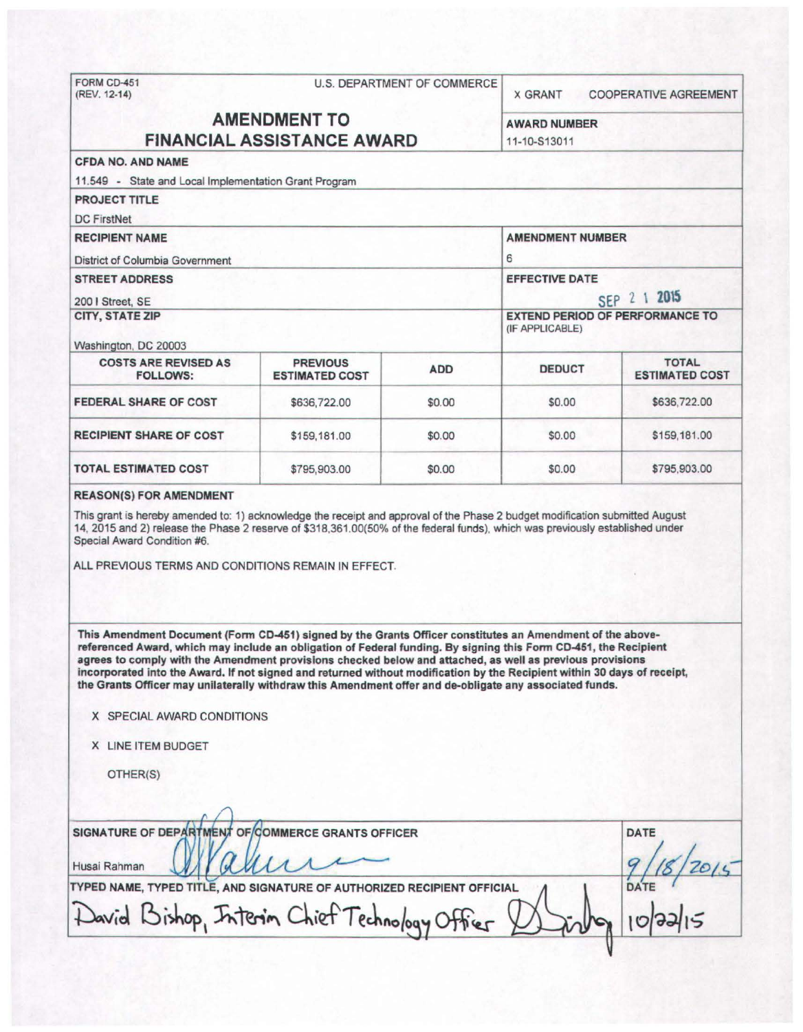FORM CD-451 U.S. DEPARTMENT OF COMMERCE<br>(REV. 12-14) X GRANT COOPERATIVE AGREEMENT AMENDMENT TO AWARD NUMBER FINANCIAL ASSISTANCE AWARD 11-10-S13011 CFDA NO. AND NAME 11.549 - State and Local Implementation Grant Program PROJECT TITLE DC FirstNet RECIPIENT NAME AMENDMENT NUMBER District of Columbia Government 6 STREET ADDRESS EFFECTIVE DATE **200 I Street, SE** SEP 2 1 **2015** CITY, STATE ZIP EXTEND PERIOD OF PERFORMANCE TO (IF APPLICABLE) Washington, DC 20003 COSTS ARE REVISED AS PREVIOUS ADD DEDUCT TOTAL TOTAL TOTAL PREVIOUS ADD DEDUCT FOLLOWS: **ESTIMATED COST FEDERAL SHARE OF COST \$636,722.00 \$6.00 \$0.00 \$6.00 \$636,722.00 RECIPIENT SHARE OF COST \$159,181.00** \$159,181.00 \$0.00 \$0.00 \$159,181.00 - - - - TOTAL ESTIMATED COST  $$795,903.00$  \$0.00 \$0.00 \$795,903.00 REASON(S) FOR AMENDMENT This grant is hereby amended to: 1) acknowledge the receipt and approval of the Phase 2 budget modification submitted August 14, 2015 and 2) release the Phase 2 reserve of \$318.361.00(50% of the federal funds), which was previously established under Special Award Condition #6. ALL PREVIOUS TERMS AND CONDITIONS REMAIN IN EFFECT. This Amendment Document (Form CD-451) signed by the Grants Officer constitutes an Amendment of the abovereferenced Award, which may include an obligation of Federal funding. By signing this Fonn CD-451, the Recipient agrees to comply with the Amendment provisions checked below and attached, as well as previous provisions Incorporated into the Award. If not signed and returned without modification by the Recipient within 30 days of receipt, the Grants Officer may unilaterally withdraw this Amendment offer and de-obligate any associated funds. X SPECIAL AWARD CONDITIONS X LINE ITEM BUDGET OTHER(S)  $\Omega$ SIGNATURE OF DEPARTMENT OF COMMERCE GRANTS OFFICER<br>Husai Rahman WWW ALLAND Husai Rahman *W Qu Qu Qu Qu Qu Qu Qu Q* / 18/2015 TYPED NAME, TYPED TITLE, AND SIGNATURE OF AUTHORIZED RECIPIENT OFFICIAL wid Bishop, Interin Chief Technolog

~